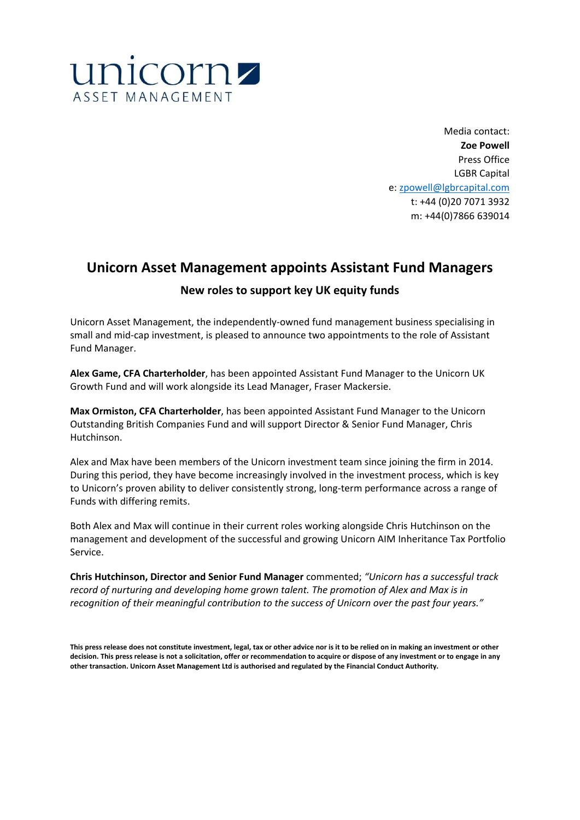

Media contact: **Zoe Powell**  Press Office LGBR Capital e: zpowell@lgbrcapital.com t: +44 (0)20 7071 3932 m: +44(0)7866 639014

## **Unicorn Asset Management appoints Assistant Fund Managers**

## **New roles to support key UK equity funds**

Unicorn Asset Management, the independently-owned fund management business specialising in small and mid-cap investment, is pleased to announce two appointments to the role of Assistant Fund Manager.

**Alex Game, CFA Charterholder**, has been appointed Assistant Fund Manager to the Unicorn UK Growth Fund and will work alongside its Lead Manager, Fraser Mackersie.

**Max Ormiston, CFA Charterholder**, has been appointed Assistant Fund Manager to the Unicorn Outstanding British Companies Fund and will support Director & Senior Fund Manager, Chris Hutchinson.

Alex and Max have been members of the Unicorn investment team since joining the firm in 2014. During this period, they have become increasingly involved in the investment process, which is key to Unicorn's proven ability to deliver consistently strong, long-term performance across a range of Funds with differing remits.

Both Alex and Max will continue in their current roles working alongside Chris Hutchinson on the management and development of the successful and growing Unicorn AIM Inheritance Tax Portfolio Service.

**Chris Hutchinson, Director and Senior Fund Manager** commented; *"Unicorn has a successful track record of nurturing and developing home grown talent. The promotion of Alex and Max is in recognition of their meaningful contribution to the success of Unicorn over the past four years."* 

**This press release does not constitute investment, legal, tax or other advice nor is it to be relied on in making an investment or other decision. This press release is not a solicitation, offer or recommendation to acquire or dispose of any investment or to engage in any other transaction. Unicorn Asset Management Ltd is authorised and regulated by the Financial Conduct Authority.**